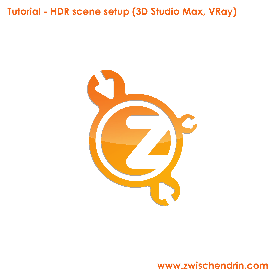# **Tutorial - HDR scene setup (3D Studio Max, VRay)**



# **www.zwischendrin.com**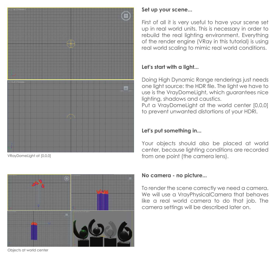

VRayDomeLight at [0,0,0]



Objects at world center

### **Set up your scene...**

First of all it is very useful to have your scene set up in real world units. This is necessary in order to rebuild the real lighting environment. Everything of the render engine (VRay in this tutorial) is using real world scaling to mimic real world conditions.

# **Let's start with a light...**

Doing High Dynamic Range renderings just needs one light source: the HDR file. The light we have to use is the VrayDomeLight, which guarantees nice lighting, shadows and caustics.

Put a VrayDomeLight at the world center [0,0,0] to prevent unwanted distortions of your HDRI.

# **Let's put something in...**

Your objects should also be placed at world center, because lighting conditions are recorded from one point (the camera lens).

### **No camera - no picture...**

To render the scene correctly we need a camera. We will use a VrayPhysicalCamera that behaves like a real world camera to do that job. The camera settings will be described later on.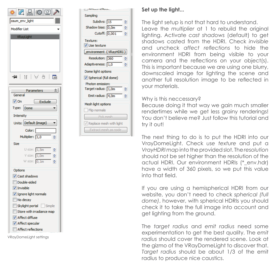



## **Set up the light...**

The light setup is not that hard to understand. Leave the *multiplier* at 1 to rebuild the original lighting. Activate *cast shadows* (default) to get shadows casted from the HDRI. Check *invisible* and uncheck *affect reflections* to hide the environment HDRI from being visible to your camera and the reflections on your object(s). This is important because we are using one blurry, downscaled image for lighting the scene and another full resolution image to be reflected in your materials.

#### Why is this neccessary?

Because doing it that way we gain much smaller rendertimes while we get less grainy renderings! You don't believe me? Just follow this tutorial and try it out!

The next thing to do is to put the HDRI into our VrayDomeLight. Check *use texture* and put a *VrayHDRI map* into the provided slot. The *resolution*  should not be set higher than the resolution of the actual HDRI. Our environment HDRIs (\*\_env.hdr) have a width of 360 pixels, so we put this value into that field.

If you are using a hemispherical HDRI from our website, you don't need to check *spherical (full dome)*, however, with spherical HDRIs you should check it to take the full image into account and get lighting from the ground.

The *target radius* and *emit radius* need some experimentation to get the best quality. The *emit radius* should cover the rendered scene. Look at the gizmo of the VRayDomeLight to discover that. *Target radius* should be about 1/3 of the emit radius to produce nice caustics.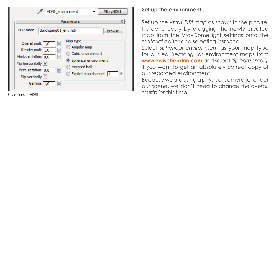| HDRI environment<br>VRayHDRI                                                                                                                                             |                                                                                                                       |  |
|--------------------------------------------------------------------------------------------------------------------------------------------------------------------------|-----------------------------------------------------------------------------------------------------------------------|--|
| durchgang01_env.hdr<br>HDR map:                                                                                                                                          | Parameters<br><b>Browse</b>                                                                                           |  |
| Overall mult: 1,0<br>슺<br>Render mult: 1,0<br>≑<br>Horiz. rotation: 0,0<br>츻<br>Flip horizontally V<br>Vert. rotation: 0,0<br>₩<br>$F$ lip vertically<br>Gamma: 1,0<br>₩ | Map type<br>Angular map<br>Cubic environment<br>Spherical environment<br>Mirrored ball<br>₩<br>Explicit map channel 1 |  |

Environment HDRI

#### **Set up the environment...**

Set up the *VrayHDRI map* as shown in the picture. It's done easily by dragging the newly created map from the VrayDomeLight settings onto the *material editor* and selecting *instance* .

Select *spherical environment* as your map type for our equirectangular environment maps from **www.zwischendrin.com** and select *flip horizontally* if you want to get an absolutely correct copy of our recorded environment.

Because we are using a physical camera to render our scene, we don't need to change the *overall multiplier* this time.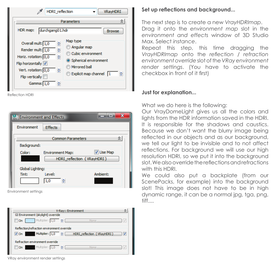| <b>HDRI</b> reflection<br>VRayHDRI                                                                                                                                       |                                                                                                                           |  |
|--------------------------------------------------------------------------------------------------------------------------------------------------------------------------|---------------------------------------------------------------------------------------------------------------------------|--|
| ⋩<br>Parameters<br>HDR map:<br>durchgang01.hdr<br><b>Browse</b>                                                                                                          |                                                                                                                           |  |
| Overall mult: 1,0<br>슺<br>Render mult: 1,0<br>슺<br>Horiz. rotation: 0,0<br>₩<br>Flip horizontally V<br>₩<br>Vert. rotation: 0,0<br>$F$ lip vertically<br>Gamma: 1,0<br>₩ | Map type<br>Angular map<br>Cubic environment<br>Spherical environment<br>Mirrored ball<br>₩<br>Explicit map channel<br>11 |  |

Reflection HDRI

| <b>M</b> <sub>3DS</sub> Environment and Effects |                          |                            |  |
|-------------------------------------------------|--------------------------|----------------------------|--|
| Environment                                     | <b>Effects</b>           |                            |  |
|                                                 | <b>Common Parameters</b> | 숬                          |  |
| Background:                                     |                          |                            |  |
| Color:                                          | <b>Environment Map:</b>  | V Use Map                  |  |
|                                                 |                          | HDRI_reflection (VRayHDRI) |  |
| Global Lighting:                                |                          |                            |  |
| Tint:                                           | Level:                   | Ambient:                   |  |
|                                                 | ≑<br> 1,0                |                            |  |

Environment settings

| V-Ray:: Environment                                        |                                                       |  |  |
|------------------------------------------------------------|-------------------------------------------------------|--|--|
| GI Environment (skylight) override                         |                                                       |  |  |
| Multiplier: $1,0$ $\Rightarrow$ $\Rightarrow$<br>$\Box$ On | IJ<br>None.                                           |  |  |
| Reflection/refraction environment override                 |                                                       |  |  |
| $V$ On                                                     | Multiplier: 1,0       HDRI_reflection (VRayHDRI)<br>V |  |  |
| Refraction environment override                            |                                                       |  |  |
| Multiplier: 1,0 승<br>$\Box$ On                             | J<br>None.                                            |  |  |

VRay environment render settings

## **Set up reflections and background...**

The next step is to create a new *VrayHDRImap*. Drag it onto the *environment map* slot in the *environment and effects* window of 3D Studio Max. Select *instance*.

Repeat this step, this time dragging the *VrayHDRImap* onto the *reflection / refraction environment override* slot of the *VRay environment render settings*. (You have to activate the checkbox in front of it first)

#### **Just for explanation...**

What we do here is the following:

Our VrayDomeLight gives us all the colors and lights from the HDR information saved in the HDRI. It is responsible for the shadows and caustics. Because we don't want the blurry image being reflected in our objects and as our background, we tell our light to be invisible and to not affect reflections. For background we will use our high resolution HDRI, so we put it into the background slot. We also override the reflections and refractions with this HDRI.

We could also put a backplate (from our ScenePacks, for example) into the background slot! This image does not have to be in high dynamic range, it can be a normal jpg, tga, png, tiff....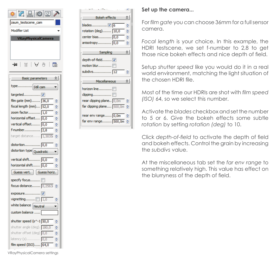| C<br>W © ©                                              |
|---------------------------------------------------------|
| zaum_testscene_cam                                      |
| Modifier List                                           |
| VRayPhysicalCamera                                      |
| <b>⊣</b> ¤। ∏ ∣∖∀ ⊜ ∣<br>殿                              |
| 쇠<br>Basic parameters                                   |
| type Still cam                                          |
|                                                         |
|                                                         |
| film gate (mm) 36,0<br>솢<br>focal length (mm) 52,0<br>≑ |
| ♦<br>zoom factor 1,0                                    |
| 슺<br>horizontal offset 0,0                              |
| ≑<br>vertical offset 0,0                                |
| f-number 2,8<br>슺                                       |
| target distance 1,3035<br>슺                             |
| distortion 0,0<br>♦                                     |
| distortion type Quadratic                               |
| vertical shift 0,0<br>솢                                 |
| horizontal shift 0,0<br>≑                               |
| Guess vert.   Guess horiz.                              |
| specify focus                                           |
| focus distance 0,2563                                   |
| exposure 7                                              |
| vignetting $\boxed{1,0}$<br>₩                           |
| white balance Neutral                                   |
| custom balance                                          |
| shutter speed (s^-1 50,0<br>≑                           |
| shutter angle (deg). 180,0<br>솢                         |
| ÷<br>shutter offset (deg) 0,0                           |
| 슺<br>latency (s) 0,0                                    |
| film speed (ISO) 64,0<br>≑                              |

**Set up the camera...**  $\mathbf{r}$  $\hat{z}$ For *film gate* you can choose 36mm for a full sensor ÷

측

츷

ᆃ

쇠

슦

쇠

₩

₩

**Bokeh** effects

Sampling

Miscellaneous

far dipping plane.... 500,0m

far env range........ 500,0m

near env range...... 0,0m

rotation (deg)........ 10,0

center bias........... 0,0

anisotropy............ 0,0

motion blur............ I subdivs............... 12

horizon line........... I near clipping plane.. 0,0m camera.

*Focal length* is your choice. In this example, the HDRI testscene, we set f-number to 2,8 to get those nice bokeh effects and nice depth of field.

Setup *shutter speed* like you would do it in a real world environment, matching the light situation of the chosen HDRI file.

Most of the time our HDRIs are shot with *film speed (ISO)* 64, so we select this number.

Activate the *blades* checkbox and set the number to 5 or 6. Give the bokeh effects some subtle *rotation* by setting *rotation (deg)* to 10.

Click *depth-of-field* to activate the depth of field and bokeh effects. Control the grain by increasing the *subdivs* value.

At the miscellaneous tab set the *far env range* to something relatively high. This value has effect on the blurryness of the depth of field.

VRayPhysicalCamera settings